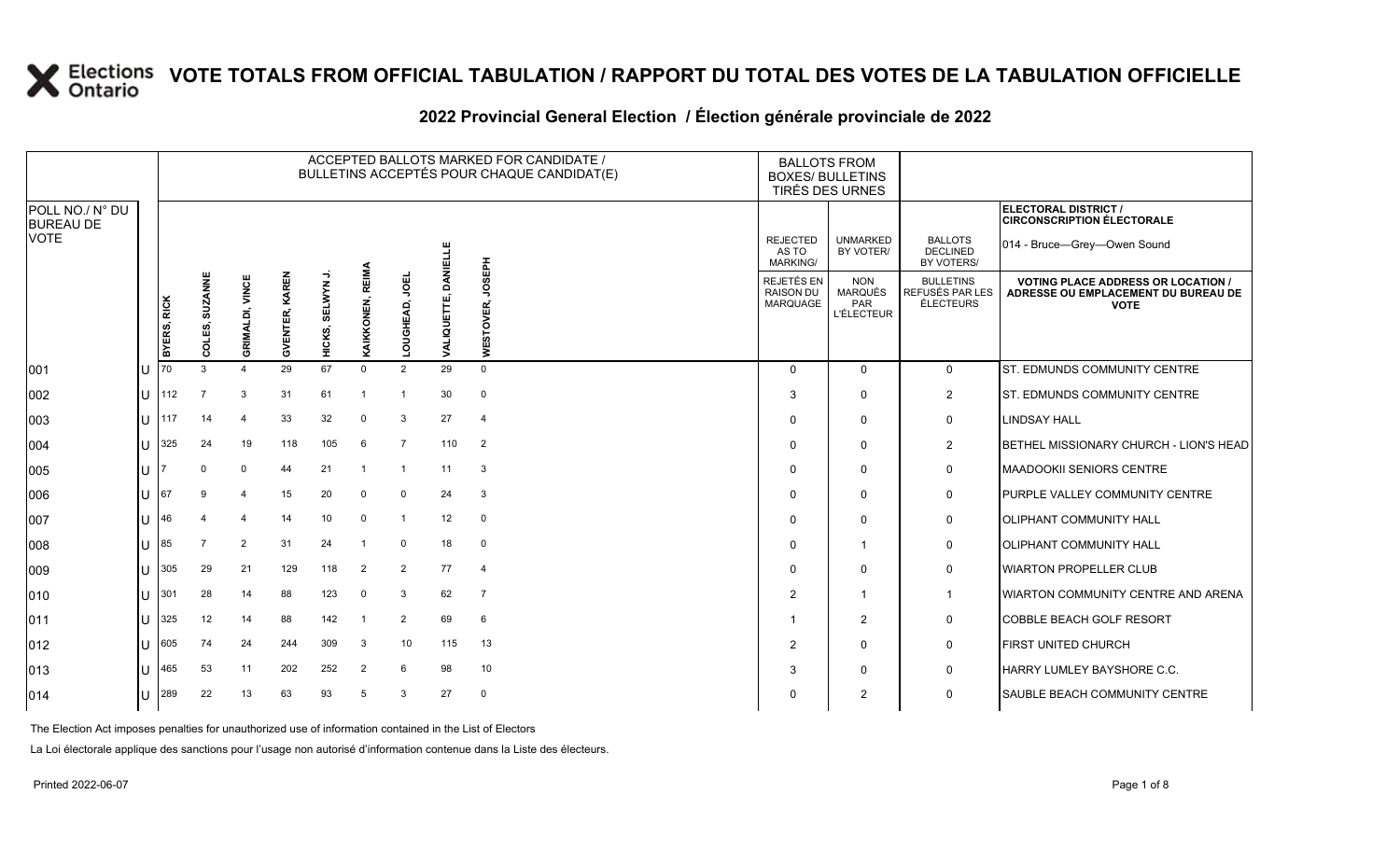#### 2022 Provincial General Election / Election générale provinciale de 2022

|                                     |             |                                      |                        |                          |                       |                     |                   |                |                                  | ACCEPTED BALLOTS MARKED FOR CANDIDATE /<br>BULLETINS ACCEPTÉS POUR CHAQUE CANDIDAT(E) | <b>BALLOTS FROM</b><br><b>BOXES/ BULLETINS</b><br>TIRÉS DES URNES |                                                          |                                                  |                                                                                               |                                                           |
|-------------------------------------|-------------|--------------------------------------|------------------------|--------------------------|-----------------------|---------------------|-------------------|----------------|----------------------------------|---------------------------------------------------------------------------------------|-------------------------------------------------------------------|----------------------------------------------------------|--------------------------------------------------|-----------------------------------------------------------------------------------------------|-----------------------------------------------------------|
| POLL NO./ N° DU<br><b>BUREAU DE</b> |             |                                      |                        |                          |                       |                     |                   |                |                                  |                                                                                       |                                                                   |                                                          |                                                  |                                                                                               | ELECTORAL DISTRICT /<br><b>CIRCONSCRIPTION ÉLECTORALE</b> |
| <b>VOTE</b>                         |             |                                      |                        |                          |                       |                     |                   |                | 븩                                |                                                                                       |                                                                   | <b>REJECTED</b><br>AS TO<br><b>MARKING/</b>              | <b>UNMARKED</b><br>BY VOTER/                     | <b>BALLOTS</b><br><b>DECLINED</b><br>BY VOTERS/                                               | 014 - Bruce-Grey-Owen Sound                               |
|                                     | BYERS, RICK | <b>SUZANNE</b><br><u>ណ្ដ</u><br>Lo C | <b>GRIMALDI, VINCE</b> | KAREN<br><b>GVENTER,</b> | っ<br>SELWYN<br>HICKS, | REIMA<br>KAIKKONEN, | JOEL<br>LOUGHEAD, | VALIQUETTI     | <b>Haspr</b><br><b>WESTOVER,</b> |                                                                                       | <b>REJETÉS EN</b><br><b>RAISON DU</b><br><b>MARQUAGE</b>          | <b>NON</b><br>MARQUÉS<br><b>PAR</b><br><b>L'ÉLECTEUR</b> | <b>BULLETINS</b><br>REFUSÉS PAR LES<br>ÉLECTEURS | <b>VOTING PLACE ADDRESS OR LOCATION</b><br>ADRESSE OU EMPLACEMENT DU BUREAU DE<br><b>VOTE</b> |                                                           |
| 001                                 |             |                                      |                        |                          | 29                    | 67                  | $\mathbf 0$       | $\overline{2}$ | 29                               | $\mathbf 0$                                                                           |                                                                   | $\Omega$                                                 | $\Omega$                                         | $\mathbf 0$                                                                                   | <b>ST. EDMUNDS COMMUNITY CENTRE</b>                       |
| 002                                 | ΙU          | 112                                  | $\overline{7}$         | 3                        | 31                    | 61                  | -1                | -1             | 30                               | $\mathbf 0$                                                                           |                                                                   | 3                                                        | $\Omega$                                         | $\overline{2}$                                                                                | <b>ST. EDMUNDS COMMUNITY CENTRE</b>                       |
| 003                                 | IП          | 117                                  | 14                     | $\overline{\mathcal{L}}$ | 33                    | 32                  | $\Omega$          | 3              | 27                               | $\overline{4}$                                                                        |                                                                   | $\Omega$                                                 | $\mathbf{0}$                                     | 0                                                                                             | <b>LINDSAY HALL</b>                                       |
| 004                                 | ПT          | 325                                  | 24                     | 19                       | 118                   | 105                 | 6                 | $\overline{7}$ | 110                              | $\overline{2}$                                                                        |                                                                   | 0                                                        | $\Omega$                                         | $\overline{2}$                                                                                | BETHEL MISSIONARY CHURCH - LION'S HEAD                    |
| 005                                 | lU          |                                      | $\Omega$               | $\Omega$                 | 44                    | 21                  | $\overline{1}$    | $\overline{1}$ | 11                               | 3                                                                                     |                                                                   | $\Omega$                                                 | $\mathbf{0}$                                     | 0                                                                                             | MAADOOKII SENIORS CENTRE                                  |
| 006                                 | IU          | 67                                   | 9                      | 4                        | 15                    | 20                  | $\mathbf 0$       | $\mathbf 0$    | 24                               | 3                                                                                     |                                                                   | $\Omega$                                                 | $\Omega$                                         | 0                                                                                             | PURPLE VALLEY COMMUNITY CENTRE                            |
| 007                                 | lU          | 46                                   |                        | $\overline{4}$           | 14                    | 10                  | $\mathbf 0$       | $\overline{1}$ | 12                               | $\mathbf 0$                                                                           |                                                                   | 0                                                        | $\Omega$                                         | $\mathbf 0$                                                                                   | <b>OLIPHANT COMMUNITY HALL</b>                            |
| 008                                 | ΠT          | 85                                   | $\overline{7}$         | $\overline{2}$           | 31                    | 24                  | $\overline{1}$    | $\mathbf 0$    | 18                               | $\mathbf 0$                                                                           |                                                                   | $\Omega$                                                 | $\mathbf 1$                                      | 0                                                                                             | <b>OLIPHANT COMMUNITY HALL</b>                            |
| 009                                 | ПT          | 305                                  | 29                     | 21                       | 129                   | 118                 | $\overline{2}$    | $\overline{2}$ | 77                               | $\overline{4}$                                                                        |                                                                   | $\Omega$                                                 | $\Omega$                                         | 0                                                                                             | <b>WIARTON PROPELLER CLUB</b>                             |
| $ 010\rangle$                       | IП          | 301                                  | 28                     | 14                       | 88                    | 123                 | $\mathbf 0$       | 3              | 62                               | 7                                                                                     |                                                                   | $\overline{2}$                                           | $\mathbf 1$                                      | $\mathbf 1$                                                                                   | <b>WIARTON COMMUNITY CENTRE AND ARENA</b>                 |
| 011                                 | U           | 325                                  | 12                     | 14                       | 88                    | 142                 | $\overline{1}$    | $\overline{2}$ | 69                               | 6                                                                                     |                                                                   |                                                          | 2                                                | $\mathbf 0$                                                                                   | COBBLE BEACH GOLF RESORT                                  |
| 012                                 | Ш           | 605                                  | 74                     | 24                       | 244                   | 309                 | 3                 | 10             | 115                              | 13                                                                                    |                                                                   | $\overline{2}$                                           | $\Omega$                                         | 0                                                                                             | <b>FIRST UNITED CHURCH</b>                                |
| $ 013\rangle$                       | ПT          | 465                                  | 53                     | 11                       | 202                   | 252                 | 2                 | 6              | 98                               | 10                                                                                    |                                                                   | 3                                                        | $\Omega$                                         | 0                                                                                             | HARRY LUMLEY BAYSHORE C.C.                                |
| 014                                 | U           | 289                                  | 22                     | 13                       | 63                    | 93                  | 5                 | 3              | 27                               | $\mathbf 0$                                                                           |                                                                   | 0                                                        | $\overline{2}$                                   | $\mathbf 0$                                                                                   | <b>ISAUBLE BEACH COMMUNITY CENTRE</b>                     |

The Election Act imposes penalties for unauthorized use of information contained in the List of Electors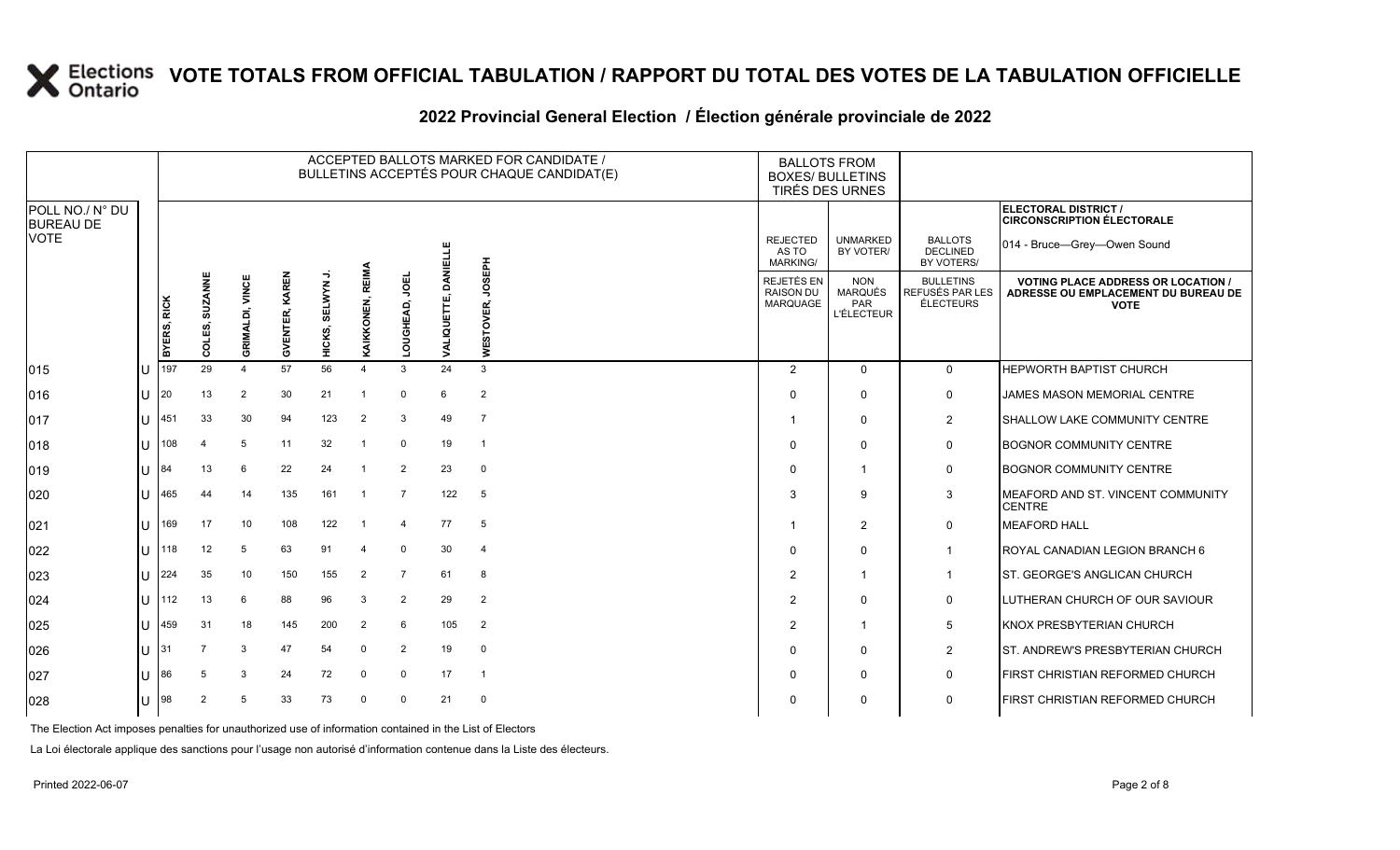### **2022 Provincial General Election / Élection générale provinciale de 2022**

|                                     |    |             |                          |                 |                |                       |                         |                      |                      | ACCEPTED BALLOTS MARKED FOR CANDIDATE /<br>BULLETINS ACCEPTÉS POUR CHAQUE CANDIDAT(E) | <b>BOXES/ BULLETINS</b>                     | <b>BALLOTS FROM</b><br>TIRÉS DES URNES            |                                                  |                                                                                                 |  |
|-------------------------------------|----|-------------|--------------------------|-----------------|----------------|-----------------------|-------------------------|----------------------|----------------------|---------------------------------------------------------------------------------------|---------------------------------------------|---------------------------------------------------|--------------------------------------------------|-------------------------------------------------------------------------------------------------|--|
| POLL NO./ N° DU<br><b>BUREAU DE</b> |    |             |                          |                 |                |                       |                         |                      |                      |                                                                                       |                                             |                                                   |                                                  | ELECTORAL DISTRICT /<br><b>CIRCONSCRIPTION ÉLECTORALE</b>                                       |  |
| <b>VOTE</b>                         |    |             |                          |                 |                |                       |                         |                      | Ë                    |                                                                                       | <b>REJECTED</b><br>AS TO<br><b>MARKING/</b> | <b>UNMARKED</b><br>BY VOTER/                      | <b>BALLOTS</b><br><b>DECLINED</b><br>BY VOTERS/  | 014 - Bruce-Grey-Owen Sound                                                                     |  |
|                                     |    | BYERS, RICK | <b>SUZANNE</b><br>COLES, | GRIMALDI, VINCE | GVENTER, KAREN | ⇒<br>SELWYN<br>HICKS, | REIMA<br>KAIKKONEN,     | 의<br>ó<br>GHEAD<br>5 | DANEI<br>VALIQUETTE, | <b>HdaSOr</b><br>WESTOVER,                                                            | REJETÉS EN<br><b>RAISON DU</b><br>MARQUAGE  | <b>NON</b><br>MARQUÉS<br>PAR<br><b>L'ÉLECTEUR</b> | <b>BULLETINS</b><br>REFUSÉS PAR LES<br>ÉLECTEURS | <b>VOTING PLACE ADDRESS OR LOCATION /</b><br>ADRESSE OU EMPLACEMENT DU BUREAU DE<br><b>VOTE</b> |  |
| $ 015\rangle$                       | lu | 197         | 29                       | $\overline{4}$  | 57             | 56                    | $\overline{\mathbf{4}}$ | 3                    | 24                   | 3                                                                                     | 2                                           | $\Omega$                                          | $\mathsf{O}$                                     | HEPWORTH BAPTIST CHURCH                                                                         |  |
| 016                                 | ΙU | 20          | 13                       | 2               | 30             | 21                    | $\overline{1}$          | $\mathbf 0$          | 6                    | $\overline{2}$                                                                        | $\Omega$                                    | $\mathbf 0$                                       | $\mathsf{O}$                                     | JAMES MASON MEMORIAL CENTRE                                                                     |  |
| 017                                 | Iп | 451         | 33                       | 30              | 94             | 123                   | $\overline{2}$          | 3                    | 49                   | $\overline{7}$                                                                        |                                             | $\mathbf 0$                                       | $\overline{2}$                                   | SHALLOW LAKE COMMUNITY CENTRE                                                                   |  |
| $ 018\rangle$                       | lu | 108         | 4                        | 5               | 11             | 32                    | -1                      | $\mathbf 0$          | 19                   | $\overline{1}$                                                                        | $\Omega$                                    | $\mathbf 0$                                       | $\mathsf{O}$                                     | <b>BOGNOR COMMUNITY CENTRE</b>                                                                  |  |
| $ 019\rangle$                       | ΙU | 84          | 13                       | 6               | 22             | 24                    | $\overline{1}$          | $\overline{2}$       | 23                   | $\mathbf 0$                                                                           | $\Omega$                                    | $\overline{1}$                                    | $\mathsf{O}$                                     | <b>BOGNOR COMMUNITY CENTRE</b>                                                                  |  |
| 020                                 | ΙU | 465         | 44                       | 14              | 135            | 161                   | $\overline{1}$          | $\overline{7}$       | 122                  | 5                                                                                     | 3                                           | 9                                                 | $\mathbf{3}$                                     | MEAFORD AND ST. VINCENT COMMUNITY<br><b>CENTRE</b>                                              |  |
| 021                                 | IП | 169         | 17                       | 10              | 108            | 122                   | $\overline{1}$          | $\overline{4}$       | 77                   | 5                                                                                     |                                             | 2                                                 | $\mathbf 0$                                      | <b>MEAFORD HALL</b>                                                                             |  |
| 022                                 | lu | 118         | 12                       | 5               | 63             | 91                    | $\overline{4}$          | $\mathbf 0$          | 30                   | $\overline{4}$                                                                        | $\Omega$                                    | $\Omega$                                          | $\mathbf{1}$                                     | ROYAL CANADIAN LEGION BRANCH 6                                                                  |  |
| 023                                 | ΙU | 224         | 35                       | 10              | 150            | 155                   | $\overline{2}$          | $\overline{7}$       | 61                   | 8                                                                                     | $\overline{2}$                              | $\overline{1}$                                    | $\mathbf{1}$                                     | ST. GEORGE'S ANGLICAN CHURCH                                                                    |  |
| 024                                 | lU | 112         | 13                       | 6               | 88             | 96                    | 3                       | 2                    | 29                   | 2                                                                                     | 2                                           | $\mathbf 0$                                       | $\mathbf 0$                                      | LUTHERAN CHURCH OF OUR SAVIOUR                                                                  |  |
| 025                                 | lu | 459         | 31                       | 18              | 145            | 200                   | $\overline{2}$          | 6                    | 105                  | $\overline{2}$                                                                        | 2                                           | -1                                                | 5                                                | <b>KNOX PRESBYTERIAN CHURCH</b>                                                                 |  |
| 026                                 | lu | 31          |                          | 3               | 47             | 54                    | $\mathbf 0$             | $\overline{2}$       | 19                   | $\mathbf 0$                                                                           | $\Omega$                                    | $\mathbf 0$                                       | $\overline{2}$                                   | ST. ANDREW'S PRESBYTERIAN CHURCH                                                                |  |
| 027                                 | lu | 86          | 5                        | 3               | 24             | 72                    | $\mathbf{0}$            | $\mathbf 0$          | 17                   | $\overline{1}$                                                                        | $\Omega$                                    | $\mathbf 0$                                       | $\mathbf 0$                                      | FIRST CHRISTIAN REFORMED CHURCH                                                                 |  |
| 028                                 | lu | 98          | $\overline{2}$           | 5               | 33             | 73                    | $\mathbf 0$             | $\Omega$             | 21                   | $\mathbf 0$                                                                           |                                             | $\Omega$                                          | $\mathbf 0$                                      | FIRST CHRISTIAN REFORMED CHURCH                                                                 |  |

The Election Act imposes penalties for unauthorized use of information contained in the List of Electors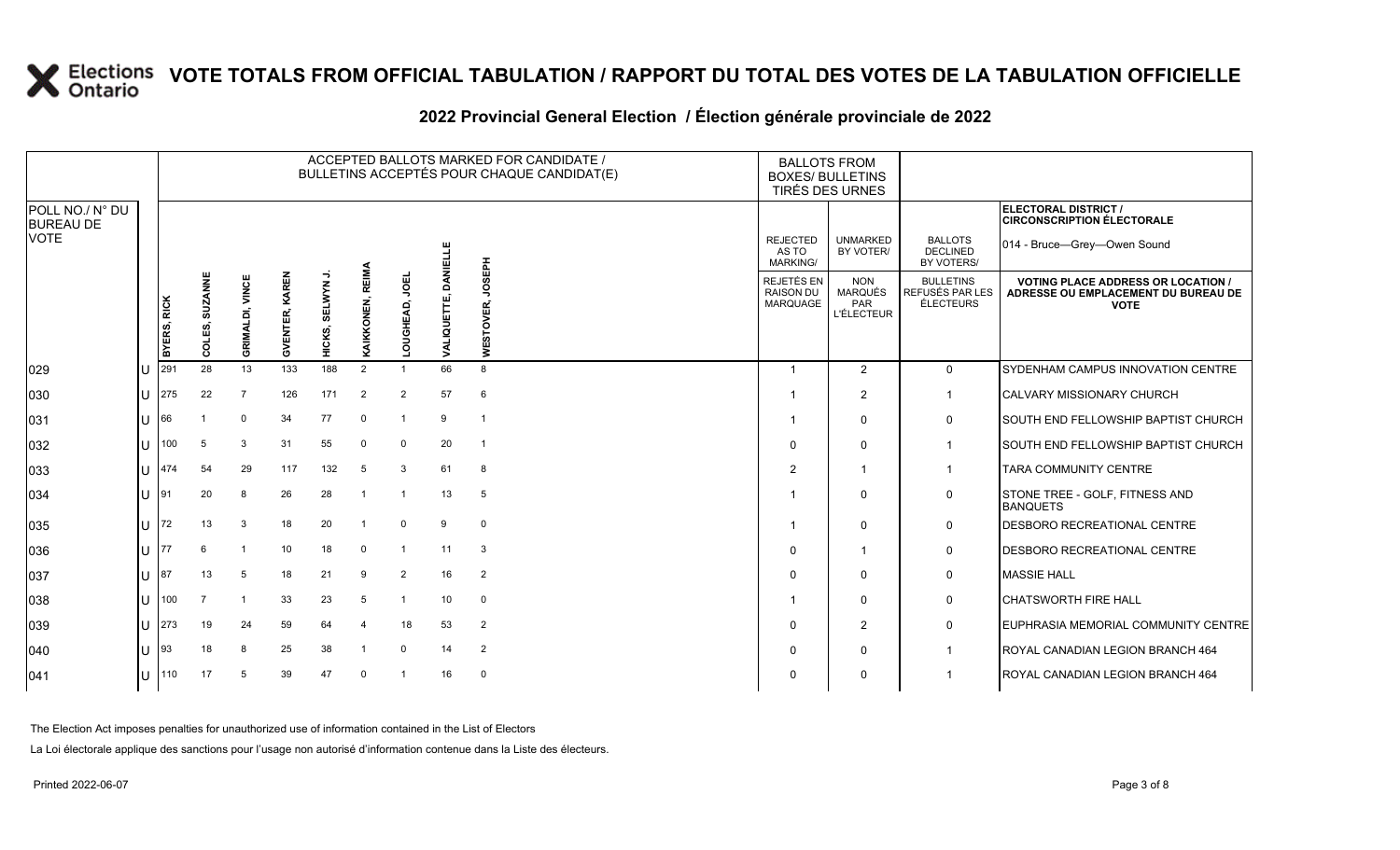#### ACCEPTED BALLOTS MARKED FOR CANDIDATE / BULLETINS ACCEPTÉS POUR CHAQUE CANDIDAT(E) BALLOTS FROM BOXES/ BULLETINS TIRÉS DES URNES **ELECTORAL DISTRICT /** POLL NO./ N° DU **CIRCONSCRIPTION ÉLECTORALE** BUREAU DE UNMARKED REJECTED BALLOTS 014 - Bruce—Grey—Owen Sound **DANIELLE VALIQUETTE, DANIELLE DECLINED** BY VOTER/ AS TO MARKING/ BY VOTERS/ **HABSOL WESTOVER, JOSEPH** KAIKKONEN, REIMA **KAIKKONEN, REIMA** JOEL **GVENTER, KAREN HICKS, SELWYN J. SUZANNE COLES, SUZANNE GVENTER, KAREN LOUGHEAD, JOEL** GRIMALDI, VINCE REJETÉS EN NON BULLETINS **GRIMALDI, VINCE VOTING PLACE ADDRESS OR LOCATION /**  SELWYN RAISON DU MARQUÉS REFUSÉS PAR LES **ADRESSE OU EMPLACEMENT DU BUREAU DE**  VALIQUETTE, **BYERS, RICK** MARQUAGE PAR ÉLECTEURS LOUGHEAD, ER. **VOTE** L'ÉLECTEUR **WESTOV** COLES, HICKS, 029 U 291 28 13 133 188 2 1 66 8 1 2 1 2 0 SYDENHAM CAMPUS INNOVATION CENTRE 030 U 275 22 7 126 171 2 2 57 6 1 2 1 CALVARY MISSIONARY CHURCH 031 U 66 1 0 34 77 0 1 9 1 1 0 0 SOUTH END FELLOWSHIP BAPTIST CHURCH 032 U 100 5 3 31 55 0 0 20 1 0 0 1 SOUTH END FELLOWSHIP BAPTIST CHURCH 033 U 474 54 29 117 132 5 3 61 8 2 1 1 TARA COMMUNITY CENTRE 034 U 91 20 8 26 28 1 1 13 5 1 0 0 STONE TREE - GOLF, FITNESS AND **BANQUETS** 035 U 72 13 3 18 20 1 0 9 0 1 0 0 DESBORO RECREATIONAL CENTRE 036 U 77 6 1 10 18 0 1 11 3 0 1 0 DESBORO RECREATIONAL CENTRE 037 U 87 13 5 18 21 9 2 16 2 0 0 0 MASSIE HALL 038 U 100 7 1 33 23 5 1 10 0 1 0 0 CHATSWORTH FIRE HALL 039 U 273 19 24 59 64 4 18 53 2 0 2 0 EUPHRASIA MEMORIAL COMMUNITY CENTRE 040 U 93 18 8 25 38 1 0 14 2 0 0 1 ROYAL CANADIAN LEGION BRANCH 464

041 U 110 17 5 39 47 0 1 16 0 0 0 1 ROYAL CANADIAN LEGION BRANCH 464

#### **2022 Provincial General Election / Élection générale provinciale de 2022**

The Election Act imposes penalties for unauthorized use of information contained in the List of Electors

La Loi électorale applique des sanctions pour l'usage non autorisé d'information contenue dans la Liste des électeurs.

VOTE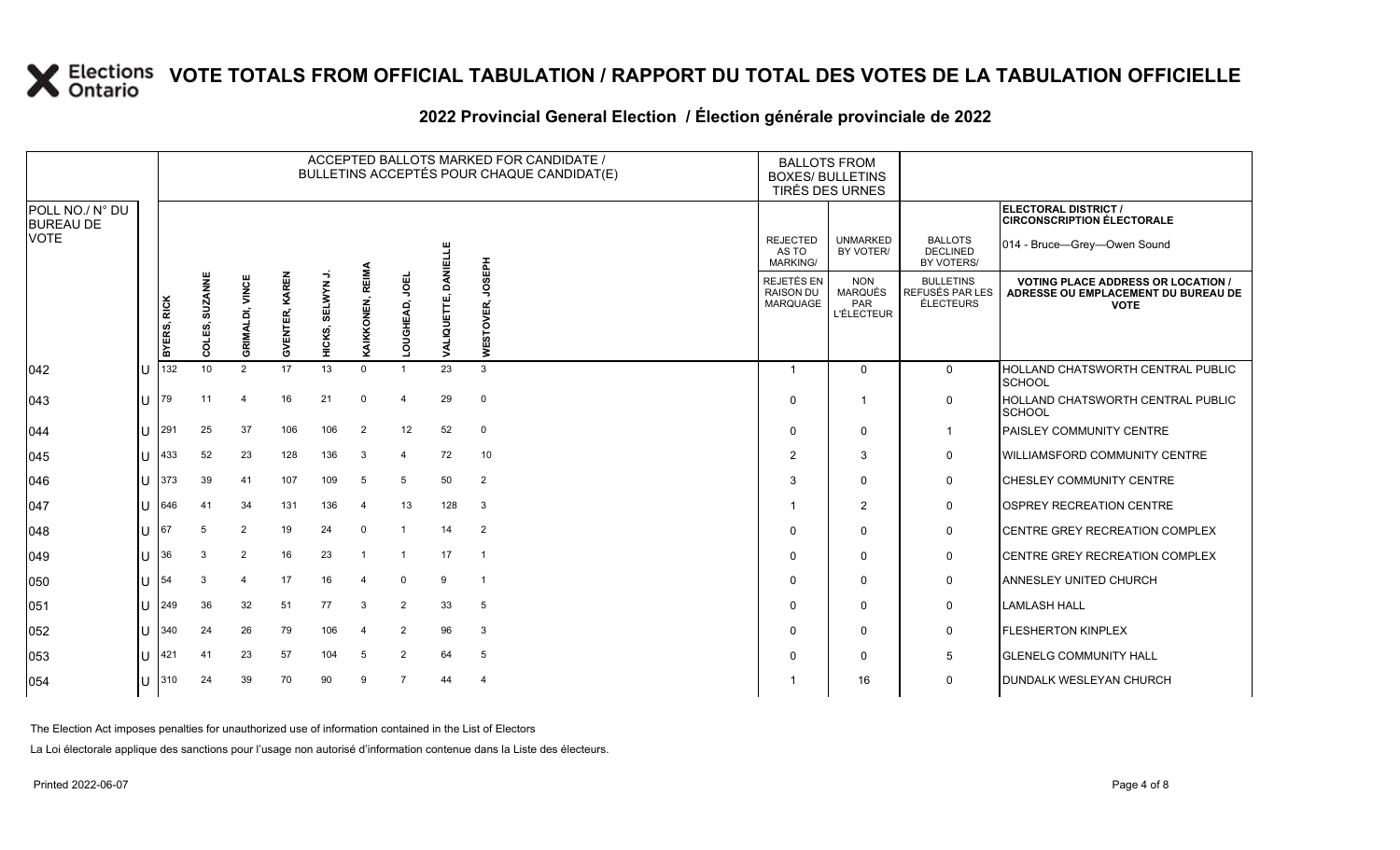|                                                    |     |             |                              |                 |                          |                    |                  |                |                 | ACCEPTED BALLOTS MARKED FOR CANDIDATE /<br>BULLETINS ACCEPTÉS POUR CHAQUE CANDIDAT(E) |                                             | <b>BALLOTS FROM</b><br><b>BOXES/ BULLETINS</b><br>TIRÉS DES URNES |                                                         |                                                                                                 |
|----------------------------------------------------|-----|-------------|------------------------------|-----------------|--------------------------|--------------------|------------------|----------------|-----------------|---------------------------------------------------------------------------------------|---------------------------------------------|-------------------------------------------------------------------|---------------------------------------------------------|-------------------------------------------------------------------------------------------------|
| POLL NO./ N° DU<br><b>BUREAU DE</b><br><b>VOTE</b> |     |             |                              |                 |                          | SELWYN J<br>HICKS, |                  |                |                 |                                                                                       |                                             |                                                                   |                                                         | ELECTORAL DISTRICT /<br><b>CIRCONSCRIPTION ÉLECTORALE</b>                                       |
|                                                    |     |             |                              |                 |                          |                    |                  |                | <b>DANIELLE</b> | <b>HdaSOr</b><br>TOVER,<br>WES <sup>-</sup>                                           | <b>REJECTED</b><br>AS TO<br><b>MARKING/</b> | <b>UNMARKED</b><br>BY VOTER/                                      | <b>BALLOTS</b><br><b>DECLINED</b><br>BY VOTERS/         | 014 - Bruce-Grey-Owen Sound                                                                     |
|                                                    |     | BYERS, RICK | <b>SUZANNE</b><br>OLES,<br>ō | GRIMALDI, VINCE | KAREN<br><b>GVENTER,</b> |                    | KAIKKONEN, REIMA | 링<br>LOUGHEAD, | ALIQUETTE,      |                                                                                       | REJETÉS EN<br><b>RAISON DU</b><br>MARQUAGE  | <b>NON</b><br><b>MARQUÉS</b><br>PAR<br><b>L'ÉLECTEUR</b>          | <b>BULLETINS</b><br>REFUSÉS PAR LES<br><b>ÉLECTEURS</b> | <b>VOTING PLACE ADDRESS OR LOCATION /</b><br>ADRESSE OU EMPLACEMENT DU BUREAU DE<br><b>VOTE</b> |
| 042                                                | IU  | 132         | 10                           | 2               | 17                       | 13                 | $\Omega$         |                | 23              | 3                                                                                     | -1                                          | $\mathbf 0$                                                       | 0                                                       | HOLLAND CHATSWORTH CENTRAL PUBLIC<br><b>SCHOOL</b>                                              |
| 043                                                | IU  | 179         | 11                           | 4               | 16                       | 21                 | $\mathbf 0$      | $\overline{4}$ | 29              | $\mathbf 0$                                                                           | $\Omega$                                    | $\overline{1}$                                                    | $\mathbf 0$                                             | <b>HOLLAND CHATSWORTH CENTRAL PUBLIC</b><br><b>SCHOOL</b>                                       |
| 044                                                | IU  | 291         | 25                           | 37              | 106                      | 106                | 2                | 12             | 52              | 0                                                                                     | $\Omega$                                    | $\mathbf 0$                                                       | $\overline{1}$                                          | <b>PAISLEY COMMUNITY CENTRE</b>                                                                 |
| 045                                                | lU  | 433         | 52                           | 23              | 128                      | 136                | 3                | $\overline{a}$ | 72              | 10                                                                                    | $\mathcal{P}$                               | 3                                                                 | 0                                                       | <b>WILLIAMSFORD COMMUNITY CENTRE</b>                                                            |
| 046                                                | IU. | 373         | 39                           | 41              | 107                      | 109                | 5                | 5              | 50              | $\overline{2}$                                                                        | 3                                           | $\mathbf 0$                                                       | $\mathbf 0$                                             | <b>CHESLEY COMMUNITY CENTRE</b>                                                                 |
| 047                                                | IU  | 646         | 41                           | 34              | 131                      | 136                | $\overline{a}$   | 13             | 128             | $\mathbf{3}$                                                                          |                                             | $\overline{2}$                                                    | 0                                                       | OSPREY RECREATION CENTRE                                                                        |
| 048                                                | ΙU  | 67          | 5                            | $\overline{2}$  | 19                       | 24                 | $\mathbf 0$      | -1             | 14              | $\overline{2}$                                                                        | $\Omega$                                    | $\Omega$                                                          | 0                                                       | CENTRE GREY RECREATION COMPLEX                                                                  |
| 049                                                | IU  | 136         | 3                            | $\overline{2}$  | 16                       | 23                 | $\overline{1}$   | $\overline{1}$ | 17              | $\overline{1}$                                                                        | $\Omega$                                    | 0                                                                 | 0                                                       | <b>CENTRE GREY RECREATION COMPLEX</b>                                                           |
| 050                                                | IU  | 154         | 3                            | 4               | 17                       | 16                 | $\overline{4}$   | $\mathbf 0$    | 9               | $\overline{1}$                                                                        | $\Omega$                                    | 0                                                                 | 0                                                       | <b>ANNESLEY UNITED CHURCH</b>                                                                   |
| 051                                                | IU  | 249         | 36                           | 32              | 51                       | 77                 | 3                | 2              | 33              | 5                                                                                     | $\Omega$                                    | $\mathbf 0$                                                       | 0                                                       | <b>LAMLASH HALL</b>                                                                             |
| 052                                                | IU  | 340         | 24                           | 26              | 79                       | 106                | $\mathbf 4$      | $\overline{2}$ | 96              | 3                                                                                     | $\Omega$                                    | $\mathbf 0$                                                       | 0                                                       | <b>FLESHERTON KINPLEX</b>                                                                       |
| 053                                                | IП  | 421         | 41                           | 23              | 57                       | 104                | 5                | $\overline{2}$ | 64              | 5                                                                                     | $\Omega$                                    | $\mathbf 0$                                                       | 5                                                       | <b>GLENELG COMMUNITY HALL</b>                                                                   |
| 054                                                | ΙU  | 310         | 24                           | 39              | 70                       | 90                 | 9                | $\overline{7}$ | 44              | 4                                                                                     |                                             | 16                                                                | $\mathbf 0$                                             | <b>DUNDALK WESLEYAN CHURCH</b>                                                                  |

#### **2022 Provincial General Election / Élection générale provinciale de 2022**

The Election Act imposes penalties for unauthorized use of information contained in the List of Electors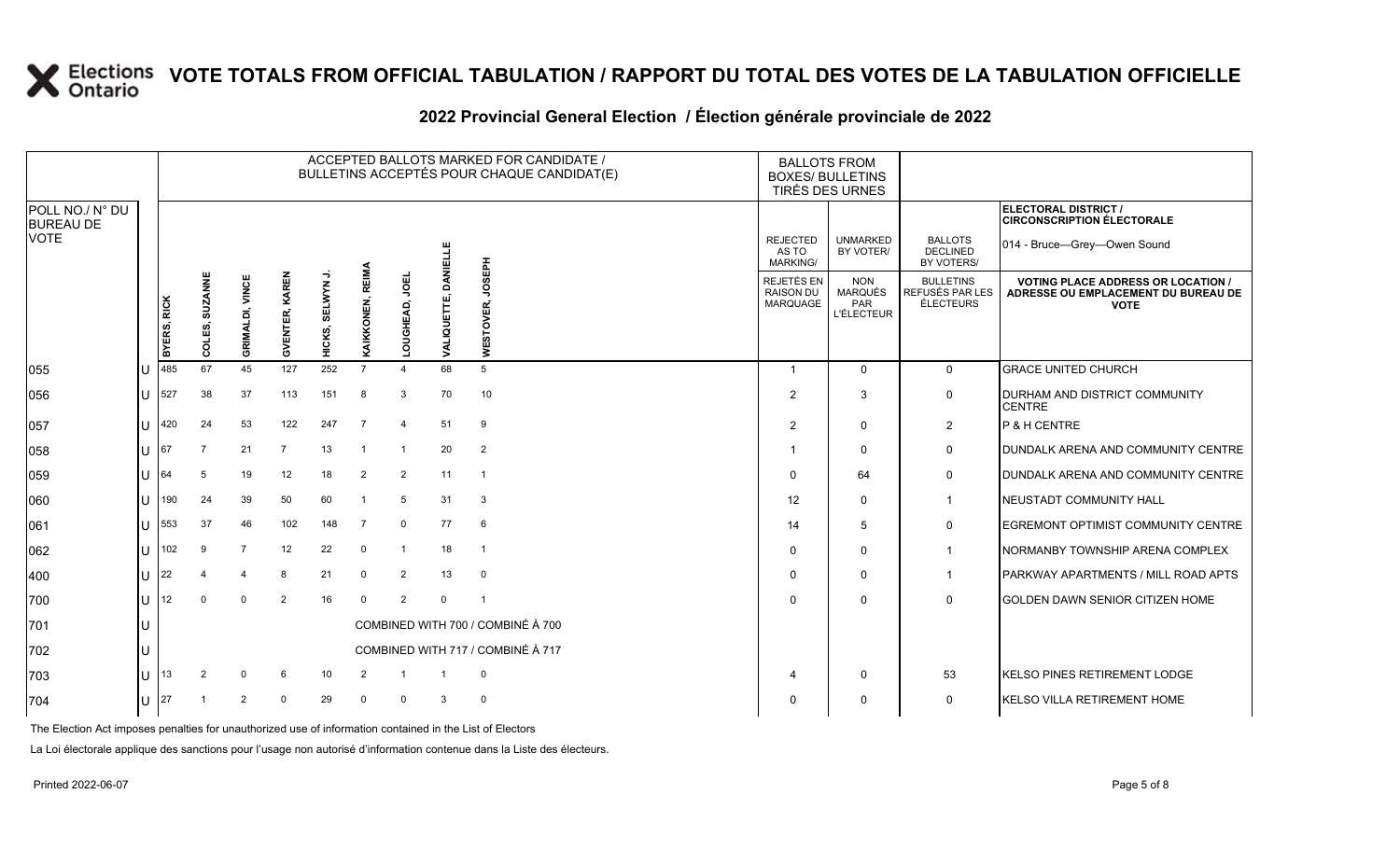|                                                    |              |                                |                |                        |                |               |                  |                |                      | ACCEPTED BALLOTS MARKED FOR CANDIDATE /<br>BULLETINS ACCEPTÉS POUR CHAQUE CANDIDAT(E) |                                                          | <b>BALLOTS FROM</b><br><b>BOXES/ BULLETINS</b><br>TIRÉS DES URNES |                                                         |                                                                                                 |
|----------------------------------------------------|--------------|--------------------------------|----------------|------------------------|----------------|---------------|------------------|----------------|----------------------|---------------------------------------------------------------------------------------|----------------------------------------------------------|-------------------------------------------------------------------|---------------------------------------------------------|-------------------------------------------------------------------------------------------------|
| POLL NO./ N° DU<br><b>BUREAU DE</b><br><b>VOTE</b> |              |                                |                |                        |                |               |                  |                | Ë                    |                                                                                       | <b>REJECTED</b><br>AS TO<br><b>MARKING/</b>              | <b>UNMARKED</b><br>BY VOTER/                                      | <b>BALLOTS</b><br><b>DECLINED</b><br>BY VOTERS/         | <b>ELECTORAL DISTRICT /</b><br><b>CIRCONSCRIPTION ÉLECTORALE</b><br>014 - Bruce-Grey-Owen Sound |
|                                                    |              | BYERS, RICK                    | COLES, SUZANNE | <b>GRIMALDI, VINCE</b> | GVENTER, KAREN | HICKS, SELWYN | KAIKKONEN, REIMA | ğ<br>GHEAD,    | DANEI<br>VALIQUETTE, | <b>HdaSCr</b><br>ESTOVER,<br>Ξ                                                        | <b>REJETÉS EN</b><br><b>RAISON DU</b><br><b>MARQUAGE</b> | <b>NON</b><br>MARQUÉS<br><b>PAR</b><br><b>L'ÉLECTEUR</b>          | <b>BULLETINS</b><br>REFUSÉS PAR LES<br><b>ÉLECTEURS</b> | <b>VOTING PLACE ADDRESS OR LOCATION /</b><br>ADRESSE OU EMPLACEMENT DU BUREAU DE<br><b>VOTE</b> |
| 055                                                |              | 485                            | 67             | 45                     | 127            | 252           | $\overline{7}$   |                | 68                   | 5                                                                                     | -1                                                       | $\mathbf 0$                                                       | $\mathbf 0$                                             | <b>GRACE UNITED CHURCH</b>                                                                      |
| 056                                                | U            | 527                            | 38             | 37                     | 113            | 151           | 8                | 3              | 70                   | 10                                                                                    | 2                                                        | 3                                                                 | 0                                                       | DURHAM AND DISTRICT COMMUNITY<br><b>CENTRE</b>                                                  |
| 057                                                | ΙU           | 420                            | 24             | 53                     | 122            | 247           | $\overline{7}$   | $\overline{4}$ | 51                   | 9                                                                                     | $\overline{2}$                                           | $\mathbf 0$                                                       | $\overline{2}$                                          | P & H CENTRE                                                                                    |
| 058                                                |              | $\bigcup$ 67                   |                | 21                     | $\overline{7}$ | 13            | $\overline{1}$   | -1             | 20                   | $\overline{2}$                                                                        |                                                          | $\Omega$                                                          | $\mathbf 0$                                             | <b>DUNDALK ARENA AND COMMUNITY CENTRE</b>                                                       |
| 059                                                |              | $\lfloor \rfloor$ $\rfloor$ 64 | 5              | 19                     | 12             | 18            | 2                | 2              | 11                   | $\overline{1}$                                                                        | $\Omega$                                                 | 64                                                                | 0                                                       | <b>DUNDALK ARENA AND COMMUNITY CENTRE</b>                                                       |
| 060                                                | U            | 190                            | 24             | 39                     | 50             | 60            | $\overline{1}$   | 5              | 31                   | 3                                                                                     | 12                                                       | $\Omega$                                                          | $\mathbf 1$                                             | NEUSTADT COMMUNITY HALL                                                                         |
| 061                                                | $\mathbf{U}$ | 553                            | 37             | 46                     | 102            | 148           | 7                | 0              | 77                   | 6                                                                                     | 14                                                       | 5                                                                 | $\mathbf 0$                                             | <b>EGREMONT OPTIMIST COMMUNITY CENTRE</b>                                                       |
| 062                                                | ΠL           | 102                            | 9              | $\overline{7}$         | 12             | 22            | $\mathbf{0}$     | $\overline{1}$ | 18                   | $\overline{1}$                                                                        | 0                                                        | $\Omega$                                                          | $\mathbf{1}$                                            | NORMANBY TOWNSHIP ARENA COMPLEX                                                                 |
| 400                                                | U            | 22                             |                | 4                      | 8              | 21            | $\mathbf 0$      | 2              | 13                   | $\mathbf 0$                                                                           | 0                                                        | $\Omega$                                                          | $\mathbf 1$                                             | PARKWAY APARTMENTS / MILL ROAD APTS                                                             |
| 700                                                | ΠT           | 12                             |                | $\Omega$               | $\overline{2}$ | 16            | $\mathbf 0$      | 2              | $\Omega$             | -1                                                                                    | <sup>0</sup>                                             | $\Omega$                                                          | $\Omega$                                                | <b>GOLDEN DAWN SENIOR CITIZEN HOME</b>                                                          |
| 701                                                | IU.          |                                |                |                        |                |               |                  |                |                      | COMBINED WITH 700 / COMBINÉ À 700                                                     |                                                          |                                                                   |                                                         |                                                                                                 |
| 702                                                | U            |                                |                |                        |                |               |                  |                |                      | COMBINED WITH 717 / COMBINÉ À 717                                                     |                                                          |                                                                   |                                                         |                                                                                                 |
| 703                                                | U            | 13                             |                |                        | -6             | 10            |                  |                |                      | $\mathbf{0}$                                                                          |                                                          | $\Omega$                                                          | 53                                                      | <b>IKELSO PINES RETIREMENT LODGE</b>                                                            |
| 704                                                |              | U $ 27$                        |                | 2                      | $\Omega$       | 29            | $\mathbf 0$      | $\mathbf 0$    | 3                    | $\mathbf 0$                                                                           | 0                                                        | $\Omega$                                                          | 0                                                       | KELSO VILLA RETIREMENT HOME                                                                     |

#### **2022 Provincial General Election / Élection générale provinciale de 2022**

The Election Act imposes penalties for unauthorized use of information contained in the List of Electors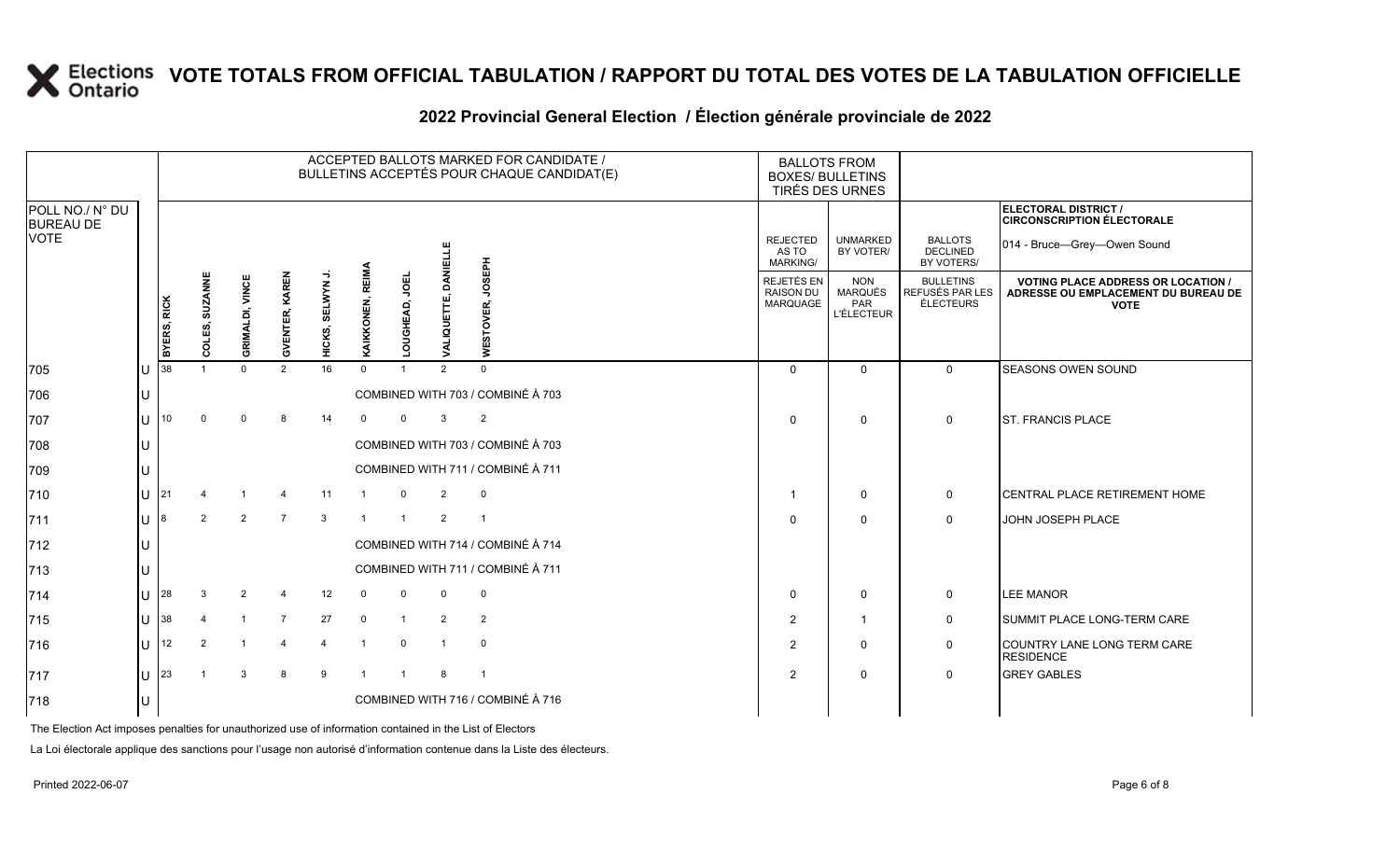|                                                    |     |             |                |                        |                       |                |                  |                               |                      | ACCEPTED BALLOTS MARKED FOR CANDIDATE /<br>BULLETINS ACCEPTÉS POUR CHAQUE CANDIDAT(E) | <b>BALLOTS FROM</b><br><b>BOXES/ BULLETINS</b><br>TIRÉS DES URNES |                                                          |                                                                |                                                                                                 |
|----------------------------------------------------|-----|-------------|----------------|------------------------|-----------------------|----------------|------------------|-------------------------------|----------------------|---------------------------------------------------------------------------------------|-------------------------------------------------------------------|----------------------------------------------------------|----------------------------------------------------------------|-------------------------------------------------------------------------------------------------|
| POLL NO./ N° DU<br><b>BUREAU DE</b><br><b>VOTE</b> |     |             |                |                        |                       |                |                  |                               |                      |                                                                                       | <b>REJECTED</b><br>AS TO                                          | <b>UNMARKED</b><br>BY VOTER/                             | <b>BALLOTS</b><br><b>DECLINED</b>                              | ELECTORAL DISTRICT /<br><b>CIRCONSCRIPTION ÉLECTORALE</b><br>014 - Bruce-Grey-Owen Sound        |
|                                                    |     | BYERS, RICK | COLES, SUZANNE | <b>GRIMALDI, VINCE</b> | <b>GVENTER, KAREN</b> | HICKS, SELWYN  | KAIKKONEN, REIMA | <b>UBO</b><br><b>OUGHEAD,</b> | DANEI<br>VALIQUETTE, | <b>Hd3SOr</b><br>ESTOVER,                                                             | <b>MARKING/</b><br>REJETÉS EN<br><b>RAISON DU</b><br>MARQUAGE     | <b>NON</b><br><b>MARQUÉS</b><br>PAR<br><b>L'ÉLECTEUR</b> | BY VOTERS/<br><b>BULLETINS</b><br>REFUSÉS PAR LES<br>ÉLECTEURS | <b>VOTING PLACE ADDRESS OR LOCATION /</b><br>ADRESSE OU EMPLACEMENT DU BUREAU DE<br><b>VOTE</b> |
| 705                                                |     | 38          |                | $\Omega$               | 2                     | 16             | $\Omega$         |                               | $\mathcal{P}$        | ā<br>$\Omega$                                                                         | $\Omega$                                                          | $\mathbf 0$                                              | $\Omega$                                                       | SEASONS OWEN SOUND                                                                              |
| 706                                                |     |             |                |                        |                       |                |                  |                               |                      | COMBINED WITH 703 / COMBINÉ À 703                                                     |                                                                   |                                                          |                                                                |                                                                                                 |
| 707                                                |     | 10          | $\Omega$       | $\Omega$               | 8                     | 14             | $\Omega$         | $\Omega$                      | 3                    | 2                                                                                     | $\Omega$                                                          | $\mathbf 0$                                              | $\mathbf 0$                                                    | <b>ST. FRANCIS PLACE</b>                                                                        |
| 708                                                |     |             |                |                        |                       |                |                  |                               |                      | COMBINED WITH 703 / COMBINÉ À 703                                                     |                                                                   |                                                          |                                                                |                                                                                                 |
| 709                                                |     |             |                |                        |                       |                |                  |                               |                      | COMBINED WITH 711 / COMBINÉ À 711                                                     |                                                                   |                                                          |                                                                |                                                                                                 |
| 710                                                |     | 21          |                |                        |                       | 11             |                  | $\mathbf 0$                   | $\overline{2}$       | 0                                                                                     | -1                                                                | $\mathbf 0$                                              | $\mathbf 0$                                                    | <b>I</b> CENTRAL PLACE RETIREMENT HOME                                                          |
| 711                                                |     | 8           | $\mathcal{P}$  | 2                      | $\overline{7}$        | $\mathbf{3}$   |                  | $\overline{1}$                | 2                    | $\overline{1}$                                                                        | $\Omega$                                                          | $\mathbf{0}$                                             | $\Omega$                                                       | JOHN JOSEPH PLACE                                                                               |
| 712                                                |     |             |                |                        |                       |                |                  |                               |                      | COMBINED WITH 714 / COMBINÉ À 714                                                     |                                                                   |                                                          |                                                                |                                                                                                 |
| 713                                                |     |             |                |                        |                       |                |                  |                               |                      | COMBINED WITH 711 / COMBINÉ À 711                                                     |                                                                   |                                                          |                                                                |                                                                                                 |
| 714                                                |     | 28          |                | $\overline{2}$         | $\overline{4}$        | 12             | $\Omega$         | $\Omega$                      | $\mathbf 0$          | $\mathbf 0$                                                                           | $\Omega$                                                          | $\mathbf 0$                                              | 0                                                              | <b>LEE MANOR</b>                                                                                |
| 715                                                |     | 38          |                |                        | $\overline{7}$        | 27             | $\overline{0}$   | $\mathbf{1}$                  | 2                    | 2                                                                                     | $\overline{2}$                                                    | $\overline{1}$                                           | $\mathbf 0$                                                    | SUMMIT PLACE LONG-TERM CARE                                                                     |
| 716                                                | lU. | 12          | $\overline{2}$ |                        | $\overline{4}$        | $\overline{4}$ |                  | $\mathbf 0$                   |                      | $\mathbf 0$                                                                           | $\overline{2}$                                                    | $\Omega$                                                 | $\Omega$                                                       | COUNTRY LANE LONG TERM CARE                                                                     |

717 U 23 1 3 8 9 1 1 8 1 2 0 0 GREY GABLES

### **2022 Provincial General Election / Élection générale provinciale de 2022**

The Election Act imposes penalties for unauthorized use of information contained in the List of Electors

718 U COMBINED WITH 716 / COMBINÉ À 716

La Loi électorale applique des sanctions pour l'usage non autorisé d'information contenue dans la Liste des électeurs.

**RESIDENCE**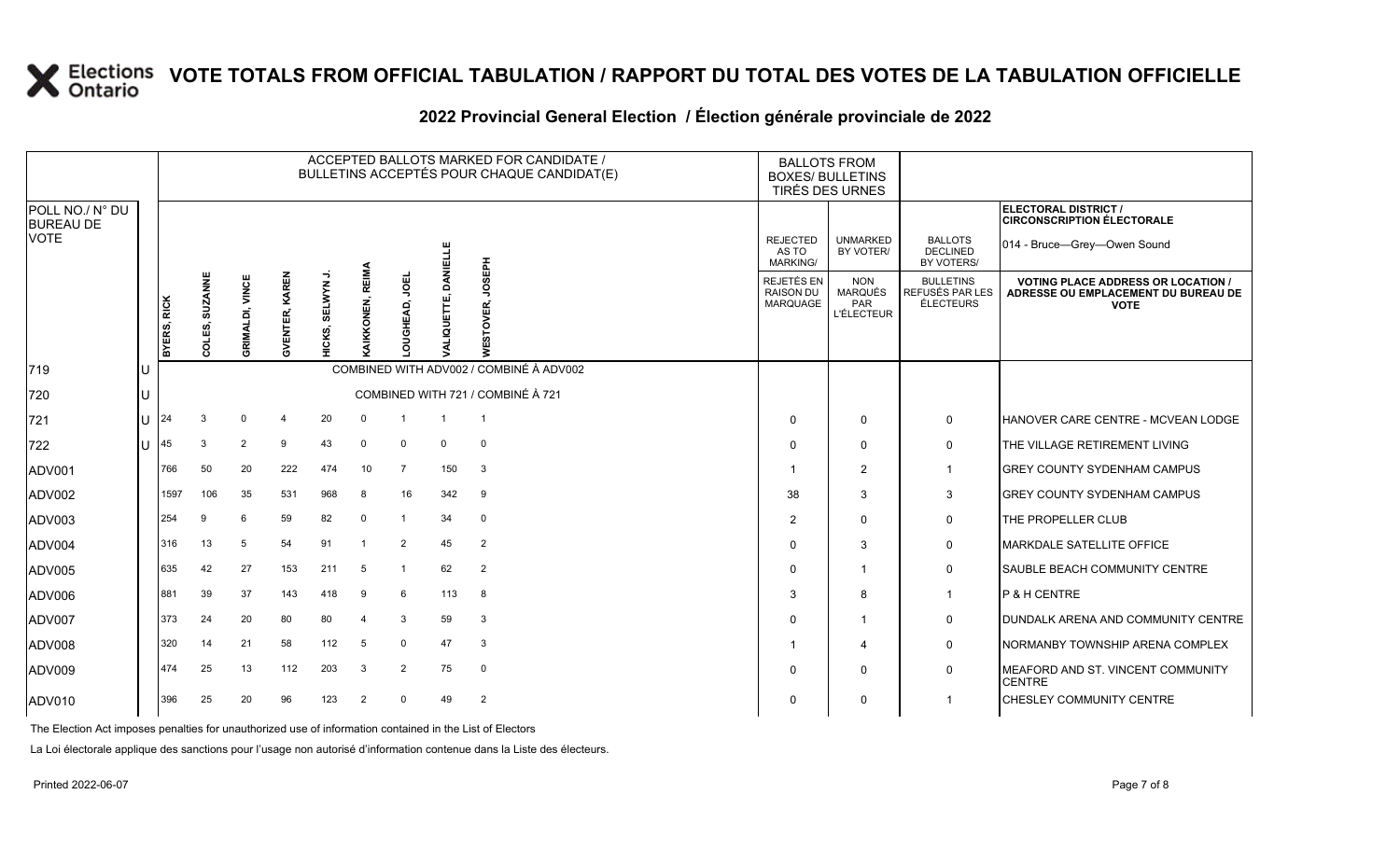|                                                    |    |             |                |                        |                |                  |                         |                       |                 | ACCEPTED BALLOTS MARKED FOR CANDIDATE /<br>BULLETINS ACCEPTÉS POUR CHAQUE CANDIDAT(E) |                                                          | <b>BALLOTS FROM</b><br><b>BOXES/ BULLETINS</b><br>TIRÉS DES URNES |                                                  |                                                                                                 |
|----------------------------------------------------|----|-------------|----------------|------------------------|----------------|------------------|-------------------------|-----------------------|-----------------|---------------------------------------------------------------------------------------|----------------------------------------------------------|-------------------------------------------------------------------|--------------------------------------------------|-------------------------------------------------------------------------------------------------|
| POLL NO./ N° DU<br><b>BUREAU DE</b><br><b>VOTE</b> |    |             |                |                        |                |                  |                         |                       |                 |                                                                                       |                                                          |                                                                   |                                                  | ELECTORAL DISTRICT /<br><b>CIRCONSCRIPTION ÉLECTORALE</b>                                       |
|                                                    |    |             |                |                        |                |                  |                         | JOEL<br><b>GHEAD,</b> | <b>DANIELLE</b> |                                                                                       | <b>REJECTED</b><br>AS TO<br><b>MARKING/</b>              | <b>UNMARKED</b><br>BY VOTER/                                      | <b>BALLOTS</b><br><b>DECLINED</b><br>BY VOTERS/  | 014 - Bruce-Grey-Owen Sound                                                                     |
|                                                    |    | BYERS, RICK | COLES, SUZANNE | <b>GRIMALDI, VINCE</b> | GVENTER, KAREN | SELWYN<br>IICKS, | REIMA<br>AIKKONEN,      |                       | LIQUETTE,       | <b>Hd3SOr</b><br>)<br>이<br>ഗ<br>m<br>₹                                                | <b>REJETÉS EN</b><br><b>RAISON DU</b><br><b>MARQUAGE</b> | <b>NON</b><br>MARQUÉS<br>PAR<br><b>L'ÉLECTEUR</b>                 | <b>BULLETINS</b><br>REFUSÉS PAR LES<br>ÉLECTEURS | <b>VOTING PLACE ADDRESS OR LOCATION /</b><br>ADRESSE OU EMPLACEMENT DU BUREAU DE<br><b>VOTE</b> |
| 719                                                |    |             |                |                        |                |                  |                         |                       |                 | COMBINED WITH ADV002 / COMBINÉ À ADV002                                               |                                                          |                                                                   |                                                  |                                                                                                 |
| 720                                                |    |             |                |                        |                |                  |                         |                       |                 | COMBINED WITH 721 / COMBINÉ À 721                                                     |                                                          |                                                                   |                                                  |                                                                                                 |
| 721                                                | U  | 24          |                | $\Omega$               | 4              | 20               | $\mathbf{0}$            | $\overline{1}$        |                 | $\overline{1}$                                                                        | 0                                                        | $\mathbf 0$                                                       | 0                                                | <b>HANOVER CARE CENTRE - MCVEAN LODGE</b>                                                       |
| 722                                                | ΠT | 45          | 3              | 2                      | 9              | 43               | $\mathbf{0}$            | $\mathbf 0$           | $\mathbf 0$     | $\mathbf{0}$                                                                          | 0                                                        | $\Omega$                                                          | 0                                                | THE VILLAGE RETIREMENT LIVING                                                                   |
| ADV001                                             |    | 766         | 50             | 20                     | 222            | 474              | 10                      | $\overline{7}$        | 150             | 3                                                                                     |                                                          | $\overline{2}$                                                    | $\mathbf{1}$                                     | <b>GREY COUNTY SYDENHAM CAMPUS</b>                                                              |
| ADV002                                             |    | 1597        | 106            | 35                     | 531            | 968              | 8                       | 16                    | 342             | 9                                                                                     | 38                                                       | 3                                                                 | 3                                                | <b>GREY COUNTY SYDENHAM CAMPUS</b>                                                              |
| ADV003                                             |    | 254         |                | 6                      | 59             | 82               | $\mathbf 0$             | $\overline{1}$        | 34              | $\mathbf 0$                                                                           | $\overline{2}$                                           | $\Omega$                                                          | $\mathbf 0$                                      | THE PROPELLER CLUB                                                                              |
| ADV004                                             |    | I316        | 13             | 5                      | 54             | 91               | $\overline{\mathbf{1}}$ | 2                     | 45              | 2                                                                                     | 0                                                        | 3                                                                 | 0                                                | <b>MARKDALE SATELLITE OFFICE</b>                                                                |
| ADV005                                             |    | 635         | 42             | 27                     | 153            | 211              | 5                       | $\overline{1}$        | 62              | 2                                                                                     | 0                                                        |                                                                   | 0                                                | <b>SAUBLE BEACH COMMUNITY CENTRE</b>                                                            |
| ADV006                                             |    | 881         | 39             | 37                     | 143            | 418              | 9                       | 6                     | 113             | 8                                                                                     | 3                                                        | 8                                                                 | $\mathbf 1$                                      | P & H CENTRE                                                                                    |
| ADV007                                             |    | 373         | 24             | 20                     | 80             | 80               | -4                      | 3                     | 59              | 3                                                                                     | 0                                                        |                                                                   | 0                                                | DUNDALK ARENA AND COMMUNITY CENTRE                                                              |
| ADV008                                             |    | 320         | 14             | 21                     | 58             | 112              | 5                       | $\mathbf 0$           | 47              | 3                                                                                     |                                                          | 4                                                                 | 0                                                | NORMANBY TOWNSHIP ARENA COMPLEX                                                                 |
| ADV009                                             |    | 474         | 25             | 13                     | 112            | 203              | 3                       | 2                     | 75              | $\mathbf 0$                                                                           | 0                                                        | $\Omega$                                                          | $\mathbf 0$                                      | MEAFORD AND ST. VINCENT COMMUNITY<br><b>CENTRE</b>                                              |
| ADV010                                             |    | 396         | 25             | 20                     | 96             | 123              | $\overline{2}$          | $\mathbf 0$           | 49              | 2                                                                                     | 0                                                        | $\Omega$                                                          | $\mathbf 1$                                      | <b>CHESLEY COMMUNITY CENTRE</b>                                                                 |

#### **2022 Provincial General Election / Élection générale provinciale de 2022**

The Election Act imposes penalties for unauthorized use of information contained in the List of Electors

La Loi électorale applique des sanctions pour l'usage non autorisé d'information contenue dans la Liste des électeurs.